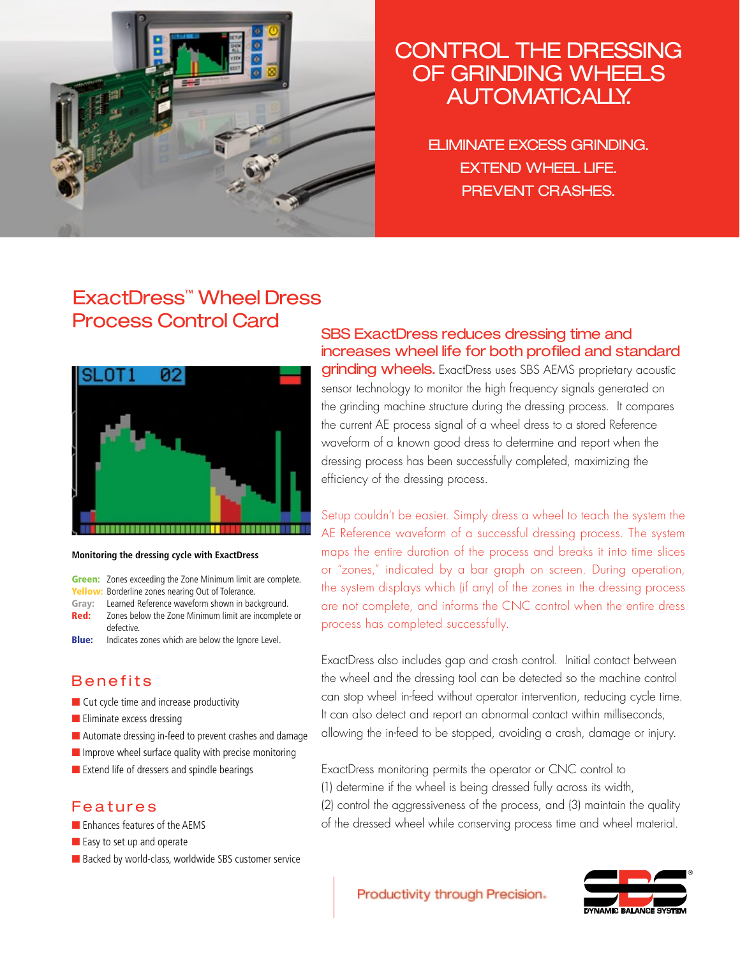

# CONTROL THE DRESSING OF GRINDING WHEELS Automatically.

eliminate excess grinding. **EXTEND WHEEL LIFE.** prevent crashes.

## ExactDress™ Wheel Dress Process Control Card



#### **Monitoring the dressing cycle with ExactDress**

**Green:** Zones exceeding the Zone Minimum limit are complete.

Yellow: Borderline zones nearing Out of Tolerance.

Gray: Learned Reference waveform shown in background. **Red:** Zones below the Zone Minimum limit are incomplete or defective.

**Blue:** Indicates zones which are below the Ignore Level.

### **Benefits**

- Cut cycle time and increase productivity
- Eliminate excess dressing
- Automate dressing in-feed to prevent crashes and damage
- $\blacksquare$  Improve wheel surface quality with precise monitoring
- Extend life of dressers and spindle bearings

### Features

- Enhances features of the AEMS
- Easy to set up and operate
- Backed by world-class, worldwide SBS customer service

SBS ExactDress reduces dressing time and increases wheel life for both profiled and standard

grinding wheels. ExactDress uses SBS AEMS proprietary acoustic sensor technology to monitor the high frequency signals generated on the grinding machine structure during the dressing process. It compares the current AE process signal of a wheel dress to a stored Reference waveform of a known good dress to determine and report when the dressing process has been successfully completed, maximizing the efficiency of the dressing process.

Setup couldn't be easier. Simply dress a wheel to teach the system the AE Reference waveform of a successful dressing process. The system maps the entire duration of the process and breaks it into time slices or "zones," indicated by a bar graph on screen. During operation, the system displays which (if any) of the zones in the dressing process are not complete, and informs the CNC control when the entire dress process has completed successfully.

ExactDress also includes gap and crash control. Initial contact between the wheel and the dressing tool can be detected so the machine control can stop wheel in-feed without operator intervention, reducing cycle time. It can also detect and report an abnormal contact within milliseconds, allowing the in-feed to be stopped, avoiding a crash, damage or injury.

ExactDress monitoring permits the operator or CNC control to (1) determine if the wheel is being dressed fully across its width, (2) control the aggressiveness of the process, and (3) maintain the quality of the dressed wheel while conserving process time and wheel material.



Productivity through Precision.